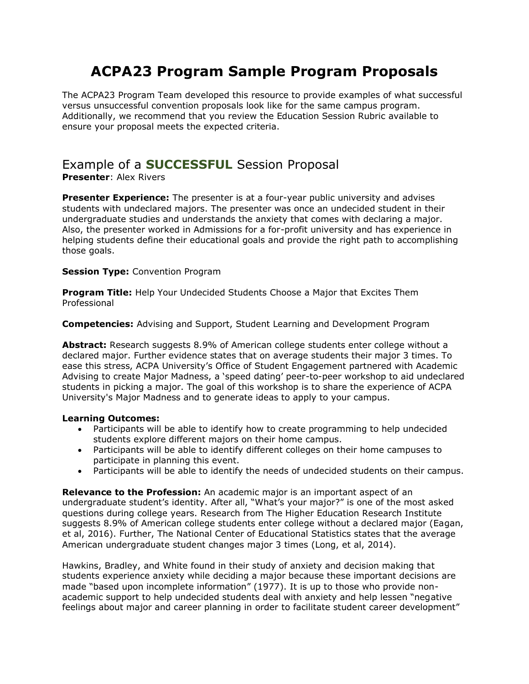# **ACPA23 Program Sample Program Proposals**

The ACPA23 Program Team developed this resource to provide examples of what successful versus unsuccessful convention proposals look like for the same campus program. Additionally, we recommend that you review the Education Session Rubric available to ensure your proposal meets the expected criteria.

# Example of a **SUCCESSFUL** Session Proposal

**Presenter**: Alex Rivers

**Presenter Experience:** The presenter is at a four-year public university and advises students with undeclared majors. The presenter was once an undecided student in their undergraduate studies and understands the anxiety that comes with declaring a major. Also, the presenter worked in Admissions for a for-profit university and has experience in helping students define their educational goals and provide the right path to accomplishing those goals.

# **Session Type:** Convention Program

**Program Title:** Help Your Undecided Students Choose a Major that Excites Them Professional

**Competencies:** Advising and Support, Student Learning and Development Program

**Abstract:** Research suggests 8.9% of American college students enter college without a declared major. Further evidence states that on average students their major 3 times. To ease this stress, ACPA University's Office of Student Engagement partnered with Academic Advising to create Major Madness, a 'speed dating' peer-to-peer workshop to aid undeclared students in picking a major. The goal of this workshop is to share the experience of ACPA University's Major Madness and to generate ideas to apply to your campus.

# **Learning Outcomes:**

- Participants will be able to identify how to create programming to help undecided students explore different majors on their home campus.
- Participants will be able to identify different colleges on their home campuses to participate in planning this event.
- Participants will be able to identify the needs of undecided students on their campus.

**Relevance to the Profession:** An academic major is an important aspect of an undergraduate student's identity. After all, "What's your major?" is one of the most asked questions during college years. Research from The Higher Education Research Institute suggests 8.9% of American college students enter college without a declared major (Eagan, et al, 2016). Further, The National Center of Educational Statistics states that the average American undergraduate student changes major 3 times (Long, et al, 2014).

Hawkins, Bradley, and White found in their study of anxiety and decision making that students experience anxiety while deciding a major because these important decisions are made "based upon incomplete information" (1977). It is up to those who provide nonacademic support to help undecided students deal with anxiety and help lessen "negative feelings about major and career planning in order to facilitate student career development"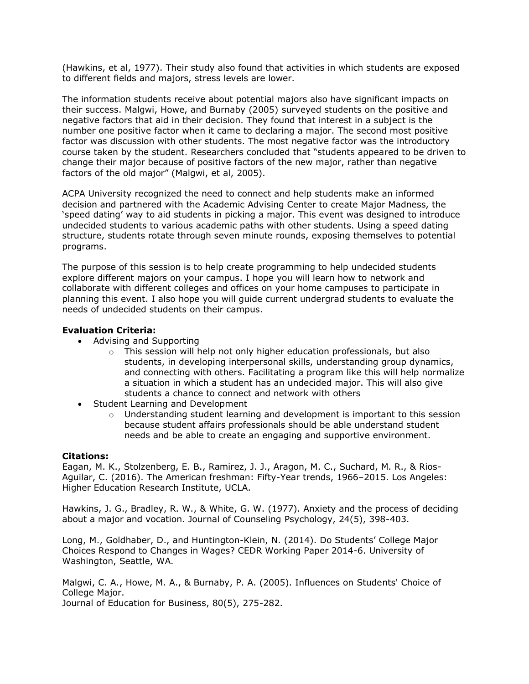(Hawkins, et al, 1977). Their study also found that activities in which students are exposed to different fields and majors, stress levels are lower.

The information students receive about potential majors also have significant impacts on their success. Malgwi, Howe, and Burnaby (2005) surveyed students on the positive and negative factors that aid in their decision. They found that interest in a subject is the number one positive factor when it came to declaring a major. The second most positive factor was discussion with other students. The most negative factor was the introductory course taken by the student. Researchers concluded that "students appeared to be driven to change their major because of positive factors of the new major, rather than negative factors of the old major" (Malgwi, et al, 2005).

ACPA University recognized the need to connect and help students make an informed decision and partnered with the Academic Advising Center to create Major Madness, the 'speed dating' way to aid students in picking a major. This event was designed to introduce undecided students to various academic paths with other students. Using a speed dating structure, students rotate through seven minute rounds, exposing themselves to potential programs.

The purpose of this session is to help create programming to help undecided students explore different majors on your campus. I hope you will learn how to network and collaborate with different colleges and offices on your home campuses to participate in planning this event. I also hope you will guide current undergrad students to evaluate the needs of undecided students on their campus.

### **Evaluation Criteria:**

- Advising and Supporting
	- $\circ$  This session will help not only higher education professionals, but also students, in developing interpersonal skills, understanding group dynamics, and connecting with others. Facilitating a program like this will help normalize a situation in which a student has an undecided major. This will also give students a chance to connect and network with others
- Student Learning and Development
	- $\circ$  Understanding student learning and development is important to this session because student affairs professionals should be able understand student needs and be able to create an engaging and supportive environment.

### **Citations:**

Eagan, M. K., Stolzenberg, E. B., Ramirez, J. J., Aragon, M. C., Suchard, M. R., & Rios-Aguilar, C. (2016). The American freshman: Fifty-Year trends, 1966–2015. Los Angeles: Higher Education Research Institute, UCLA.

Hawkins, J. G., Bradley, R. W., & White, G. W. (1977). Anxiety and the process of deciding about a major and vocation. Journal of Counseling Psychology, 24(5), 398-403.

Long, M., Goldhaber, D., and Huntington-Klein, N. (2014). Do Students' College Major Choices Respond to Changes in Wages? CEDR Working Paper 2014-6. University of Washington, Seattle, WA.

Malgwi, C. A., Howe, M. A., & Burnaby, P. A. (2005). Influences on Students' Choice of College Major.

Journal of Education for Business, 80(5), 275-282.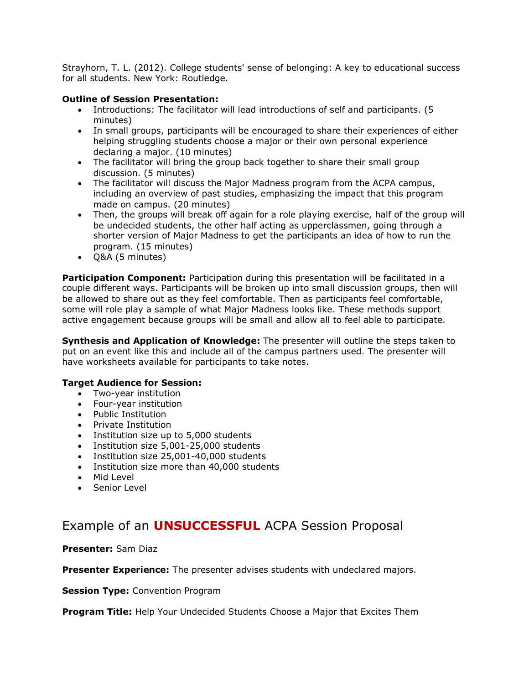Strayhorn, T. L. (2012). College students' sense of belonging: A key to educational success for all students. New York: Routledge.

### **Outline of Session Presentation:**

- Introductions: The facilitator will lead introductions of self and participants. (5 minutes)
- In small groups, participants will be encouraged to share their experiences of either helping struggling students choose a major or their own personal experience declaring a major. (10 minutes)
- The facilitator will bring the group back together to share their small group discussion. (5 minutes)
- The facilitator will discuss the Major Madness program from the ACPA campus, including an overview of past studies, emphasizing the impact that this program made on campus. (20 minutes)
- Then, the groups will break off again for a role playing exercise, half of the group will be undecided students, the other half acting as upperclassmen, going through a shorter version of Major Madness to get the participants an idea of how to run the program. (15 minutes)
- Q&A (5 minutes)

**Participation Component:** Participation during this presentation will be facilitated in a couple different ways. Participants will be broken up into small discussion groups, then will be allowed to share out as they feel comfortable. Then as participants feel comfortable, some will role play a sample of what Major Madness looks like. These methods support active engagement because groups will be small and allow all to feel able to participate.

**Synthesis and Application of Knowledge:** The presenter will outline the steps taken to put on an event like this and include all of the campus partners used. The presenter will have worksheets available for participants to take notes.

# **Target Audience for Session:**

- Two-year institution
- Four-year institution
- Public Institution
- Private Institution
- Institution size up to 5,000 students
- Institution size 5,001-25,000 students
- Institution size 25,001-40,000 students
- Institution size more than 40,000 students
- Mid Level
- Senior Level

# Example of an **UNSUCCESSFUL** ACPA Session Proposal

**Presenter:** Sam Diaz

**Presenter Experience:** The presenter advises students with undeclared majors.

**Session Type:** Convention Program

**Program Title:** Help Your Undecided Students Choose a Major that Excites Them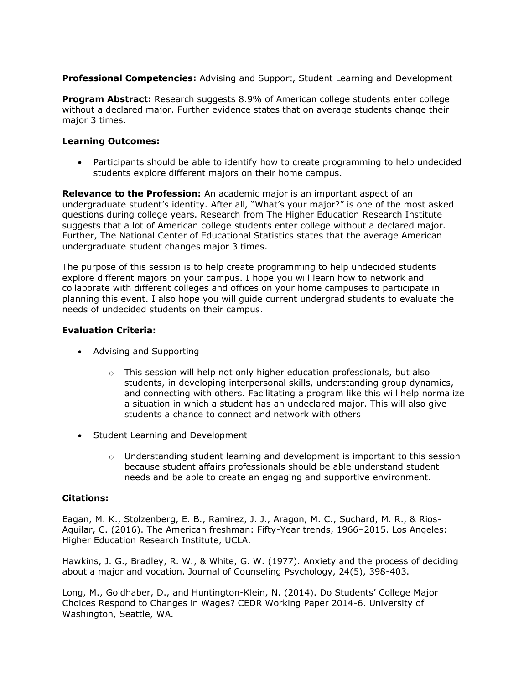**Professional Competencies:** Advising and Support, Student Learning and Development

**Program Abstract:** Research suggests 8.9% of American college students enter college without a declared major. Further evidence states that on average students change their major 3 times.

# **Learning Outcomes:**

• Participants should be able to identify how to create programming to help undecided students explore different majors on their home campus.

**Relevance to the Profession:** An academic major is an important aspect of an undergraduate student's identity. After all, "What's your major?" is one of the most asked questions during college years. Research from The Higher Education Research Institute suggests that a lot of American college students enter college without a declared major. Further, The National Center of Educational Statistics states that the average American undergraduate student changes major 3 times.

The purpose of this session is to help create programming to help undecided students explore different majors on your campus. I hope you will learn how to network and collaborate with different colleges and offices on your home campuses to participate in planning this event. I also hope you will guide current undergrad students to evaluate the needs of undecided students on their campus.

# **Evaluation Criteria:**

- Advising and Supporting
	- o This session will help not only higher education professionals, but also students, in developing interpersonal skills, understanding group dynamics, and connecting with others. Facilitating a program like this will help normalize a situation in which a student has an undeclared major. This will also give students a chance to connect and network with others
- Student Learning and Development
	- $\circ$  Understanding student learning and development is important to this session because student affairs professionals should be able understand student needs and be able to create an engaging and supportive environment.

# **Citations:**

Eagan, M. K., Stolzenberg, E. B., Ramirez, J. J., Aragon, M. C., Suchard, M. R., & Rios-Aguilar, C. (2016). The American freshman: Fifty-Year trends, 1966–2015. Los Angeles: Higher Education Research Institute, UCLA.

Hawkins, J. G., Bradley, R. W., & White, G. W. (1977). Anxiety and the process of deciding about a major and vocation. Journal of Counseling Psychology, 24(5), 398-403.

Long, M., Goldhaber, D., and Huntington-Klein, N. (2014). Do Students' College Major Choices Respond to Changes in Wages? CEDR Working Paper 2014-6. University of Washington, Seattle, WA.